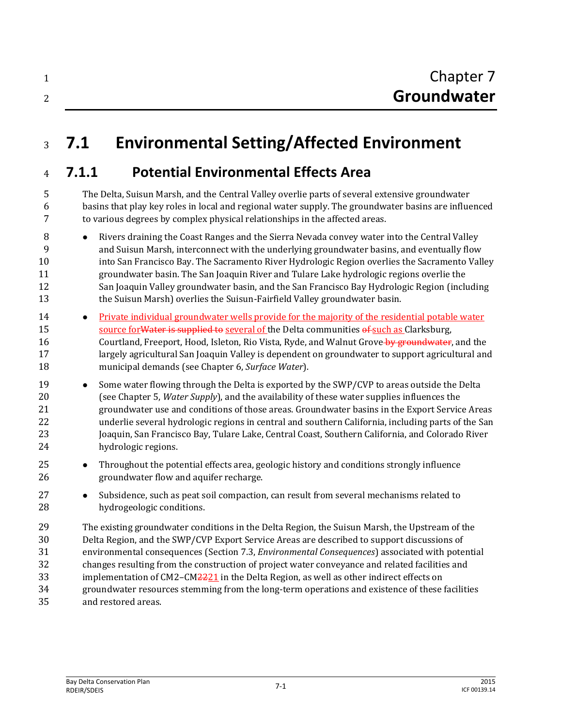| Chapter 7   |
|-------------|
| Groundwater |

## **7.1 Environmental Setting/Affected Environment**

## **7.1.1 Potential Environmental Effects Area**

 The Delta, Suisun Marsh, and the Central Valley overlie parts of several extensive groundwater basins that play key roles in local and regional water supply. The groundwater basins are influenced to various degrees by complex physical relationships in the affected areas.

- 8 Nivers draining the Coast Ranges and the Sierra Nevada convey water into the Central Valley and Suisun Marsh, interconnect with the underlying groundwater basins, and eventually flow into San Francisco Bay. The Sacramento River Hydrologic Region overlies the Sacramento Valley groundwater basin. The San Joaquin River and Tulare Lake hydrologic regions overlie the San Joaquin Valley groundwater basin, and the San Francisco Bay Hydrologic Region (including the Suisun Marsh) overlies the Suisun-Fairfield Valley groundwater basin.
- Private individual groundwater wells provide for the majority of the residential potable water 15 source for Water is supplied to several of the Delta communities of such as Clarksburg, 16 Courtland, Freeport, Hood, Isleton, Rio Vista, Ryde, and Walnut Grove by groundwater, and the largely agricultural San Joaquin Valley is dependent on groundwater to support agricultural and municipal demands (see Chapter 6, *Surface Water*).
- 19 Some water flowing through the Delta is exported by the SWP/CVP to areas outside the Delta (see Chapter 5, *Water Supply*), and the availability of these water supplies influences the groundwater use and conditions of those areas. Groundwater basins in the Export Service Areas underlie several hydrologic regions in central and southern California, including parts of the San Joaquin, San Francisco Bay, Tulare Lake, Central Coast, Southern California, and Colorado River hydrologic regions.
- **•** Throughout the potential effects area, geologic history and conditions strongly influence groundwater flow and aquifer recharge.
- 27 Subsidence, such as peat soil compaction, can result from several mechanisms related to hydrogeologic conditions.
- The existing groundwater conditions in the Delta Region, the Suisun Marsh, the Upstream of the Delta Region, and the SWP/CVP Export Service Areas are described to support discussions of environmental consequences (Section 7.3, *Environmental Consequences*) associated with potential changes resulting from the construction of project water conveyance and related facilities and 33 implementation of CM2–CM2221 in the Delta Region, as well as other indirect effects on groundwater resources stemming from the long-term operations and existence of these facilities and restored areas.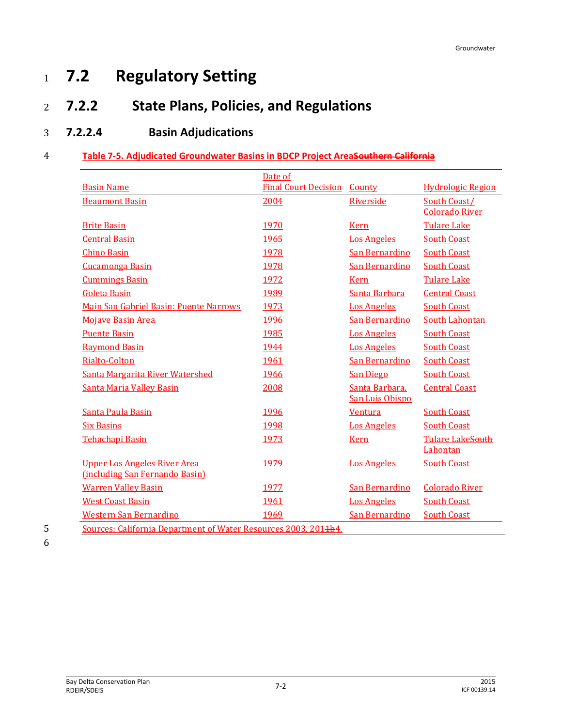# <sup>1</sup> **7.2 Regulatory Setting**

## <sup>2</sup> **7.2.2 State Plans, Policies, and Regulations**

## 3 **7.2.2.4 Basin Adjudications**

#### 4 **Table 7-5. Adjudicated Groundwater Basins in BDCP Project AreaSouthern California**

|                                                                       | Date of                            |                                   |                                            |
|-----------------------------------------------------------------------|------------------------------------|-----------------------------------|--------------------------------------------|
| <b>Basin Name</b>                                                     | <b>Final Court Decision County</b> |                                   | <b>Hydrologic Region</b>                   |
| <b>Beaumont Basin</b>                                                 | 2004                               | Riverside                         | South Coast/<br><b>Colorado River</b>      |
| <b>Brite Basin</b>                                                    | 1970                               | <b>Kern</b>                       | <b>Tulare Lake</b>                         |
| <b>Central Basin</b>                                                  | 1965                               | <b>Los Angeles</b>                | <b>South Coast</b>                         |
| <b>Chino Basin</b>                                                    | 1978                               | San Bernardino                    | <b>South Coast</b>                         |
| <b>Cucamonga Basin</b>                                                | 1978                               | <b>San Bernardino</b>             | <b>South Coast</b>                         |
| <b>Cummings Basin</b>                                                 | 1972                               | <b>Kern</b>                       | <b>Tulare Lake</b>                         |
| <b>Goleta Basin</b>                                                   | 1989                               | Santa Barbara                     | <b>Central Coast</b>                       |
| Main San Gabriel Basin: Puente Narrows                                | 1973                               | <b>Los Angeles</b>                | <b>South Coast</b>                         |
| <b>Mojave Basin Area</b>                                              | 1996                               | <b>San Bernardino</b>             | <b>South Lahontan</b>                      |
| <b>Puente Basin</b>                                                   | 1985                               | <b>Los Angeles</b>                | <b>South Coast</b>                         |
| <b>Raymond Basin</b>                                                  | 1944                               | <b>Los Angeles</b>                | <b>South Coast</b>                         |
| Rialto-Colton                                                         | 1961                               | <b>San Bernardino</b>             | <b>South Coast</b>                         |
| Santa Margarita River Watershed                                       | 1966                               | <b>San Diego</b>                  | <b>South Coast</b>                         |
| <b>Santa Maria Valley Basin</b>                                       | 2008                               | Santa Barbara,<br>San Luis Obispo | <b>Central Coast</b>                       |
| Santa Paula Basin                                                     | 1996                               | <b>Ventura</b>                    | <b>South Coast</b>                         |
| <b>Six Basins</b>                                                     | 1998                               | <b>Los Angeles</b>                | <b>South Coast</b>                         |
| <b>Tehachapi Basin</b>                                                | 1973                               | <b>Kern</b>                       | <b>Tulare LakeSouth</b><br><b>Lahontan</b> |
| <b>Upper Los Angeles River Area</b><br>(including San Fernando Basin) | 1979                               | <b>Los Angeles</b>                | <b>South Coast</b>                         |
| <b>Warren Valley Basin</b>                                            | 1977                               | San Bernardino                    | <b>Colorado River</b>                      |
| <b>West Coast Basin</b>                                               | 1961                               | <b>Los Angeles</b>                | <b>South Coast</b>                         |
| <b>Western San Bernardino</b>                                         | 1969                               | <b>San Bernardino</b>             | <b>South Coast</b>                         |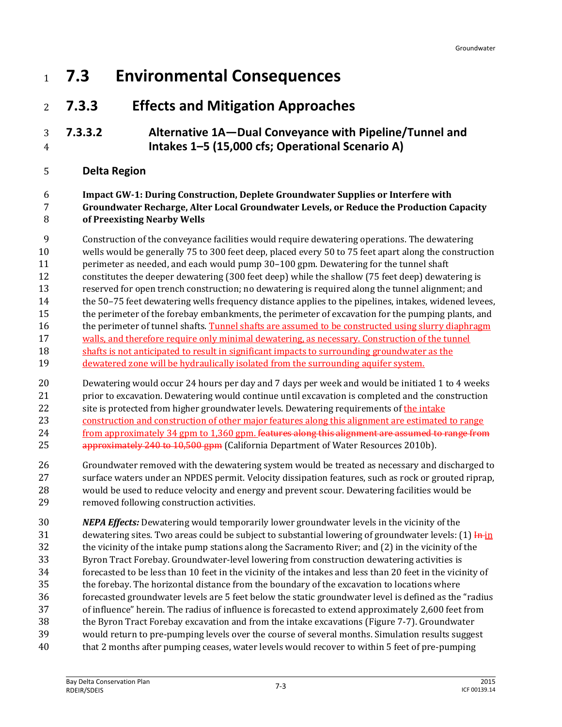- **7.3 Environmental Consequences**
- **7.3.3 Effects and Mitigation Approaches**
- **7.3.3.2 Alternative 1A—Dual Conveyance with Pipeline/Tunnel and Intakes 1–5 (15,000 cfs; Operational Scenario A)**
- **Delta Region**

#### **Impact GW-1: During Construction, Deplete Groundwater Supplies or Interfere with Groundwater Recharge, Alter Local Groundwater Levels, or Reduce the Production Capacity of Preexisting Nearby Wells**

Construction of the conveyance facilities would require dewatering operations. The dewatering

- wells would be generally 75 to 300 feet deep, placed every 50 to 75 feet apart along the construction perimeter as needed, and each would pump 30–100 gpm. Dewatering for the tunnel shaft
- constitutes the deeper dewatering (300 feet deep) while the shallow (75 feet deep) dewatering is reserved for open trench construction; no dewatering is required along the tunnel alignment; and
- the 50–75 feet dewatering wells frequency distance applies to the pipelines, intakes, widened levees,
- 15 the perimeter of the forebay embankments, the perimeter of excavation for the pumping plants, and
- 16 the perimeter of tunnel shafts. Tunnel shafts are assumed to be constructed using slurry diaphragm
- walls, and therefore require only minimal dewatering, as necessary. Construction of the tunnel
- shafts is not anticipated to result in significant impacts to surrounding groundwater as the dewatered zone will be hydraulically isolated from the surrounding aquifer system.
- Dewatering would occur 24 hours per day and 7 days per week and would be initiated 1 to 4 weeks prior to excavation. Dewatering would continue until excavation is completed and the construction 22 site is protected from higher groundwater levels. Dewatering requirements of the intake construction and construction of other major features along this alignment are estimated to range 24 from approximately 34 gpm to 1,360 gpm. features along this alignment are assumed to range from 25 approximately 240 to 10,500 gpm (California Department of Water Resources 2010b).
- Groundwater removed with the dewatering system would be treated as necessary and discharged to surface waters under an NPDES permit. Velocity dissipation features, such as rock or grouted riprap, would be used to reduce velocity and energy and prevent scour. Dewatering facilities would be removed following construction activities.
- *NEPA Effects:* Dewatering would temporarily lower groundwater levels in the vicinity of the 31 dewatering sites. Two areas could be subject to substantial lowering of groundwater levels:  $(1)$  In in the vicinity of the intake pump stations along the Sacramento River; and (2) in the vicinity of the Byron Tract Forebay. Groundwater-level lowering from construction dewatering activities is forecasted to be less than 10 feet in the vicinity of the intakes and less than 20 feet in the vicinity of the forebay. The horizontal distance from the boundary of the excavation to locations where forecasted groundwater levels are 5 feet below the static groundwater level is defined as the "radius of influence" herein. The radius of influence is forecasted to extend approximately 2,600 feet from the Byron Tract Forebay excavation and from the intake excavations (Figure 7-7). Groundwater would return to pre-pumping levels over the course of several months. Simulation results suggest that 2 months after pumping ceases, water levels would recover to within 5 feet of pre-pumping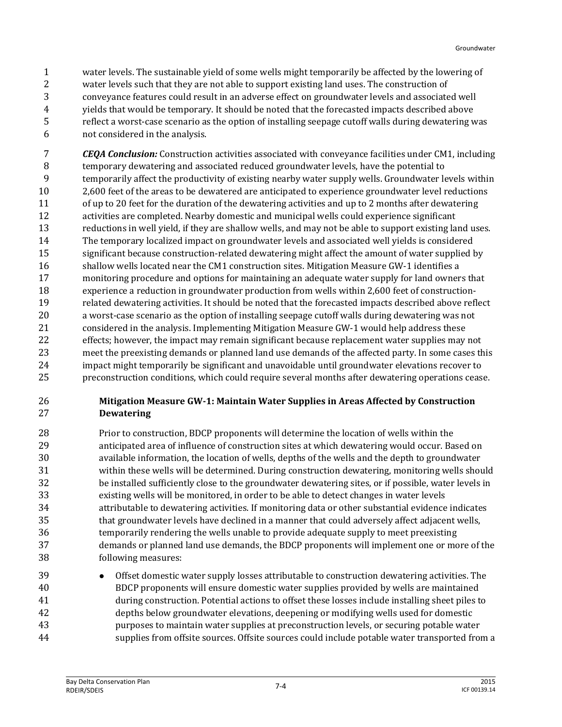water levels. The sustainable yield of some wells might temporarily be affected by the lowering of water levels such that they are not able to support existing land uses. The construction of conveyance features could result in an adverse effect on groundwater levels and associated well yields that would be temporary. It should be noted that the forecasted impacts described above reflect a worst-case scenario as the option of installing seepage cutoff walls during dewatering was not considered in the analysis.

 *CEQA Conclusion:* Construction activities associated with conveyance facilities under CM1, including temporary dewatering and associated reduced groundwater levels, have the potential to temporarily affect the productivity of existing nearby water supply wells. Groundwater levels within 2,600 feet of the areas to be dewatered are anticipated to experience groundwater level reductions of up to 20 feet for the duration of the dewatering activities and up to 2 months after dewatering activities are completed. Nearby domestic and municipal wells could experience significant reductions in well yield, if they are shallow wells, and may not be able to support existing land uses. The temporary localized impact on groundwater levels and associated well yields is considered significant because construction-related dewatering might affect the amount of water supplied by 16 shallow wells located near the CM1 construction sites. Mitigation Measure GW-1 identifies a monitoring procedure and options for maintaining an adequate water supply for land owners that experience a reduction in groundwater production from wells within 2,600 feet of construction- related dewatering activities. It should be noted that the forecasted impacts described above reflect a worst-case scenario as the option of installing seepage cutoff walls during dewatering was not considered in the analysis. Implementing Mitigation Measure GW-1 would help address these effects; however, the impact may remain significant because replacement water supplies may not meet the preexisting demands or planned land use demands of the affected party. In some cases this impact might temporarily be significant and unavoidable until groundwater elevations recover to preconstruction conditions, which could require several months after dewatering operations cease.

#### **Mitigation Measure GW-1: Maintain Water Supplies in Areas Affected by Construction Dewatering**

- Prior to construction, BDCP proponents will determine the location of wells within the anticipated area of influence of construction sites at which dewatering would occur. Based on available information, the location of wells, depths of the wells and the depth to groundwater within these wells will be determined. During construction dewatering, monitoring wells should be installed sufficiently close to the groundwater dewatering sites, or if possible, water levels in existing wells will be monitored, in order to be able to detect changes in water levels attributable to dewatering activities. If monitoring data or other substantial evidence indicates that groundwater levels have declined in a manner that could adversely affect adjacent wells, temporarily rendering the wells unable to provide adequate supply to meet preexisting demands or planned land use demands, the BDCP proponents will implement one or more of the following measures:
- 39 Offset domestic water supply losses attributable to construction dewatering activities. The BDCP proponents will ensure domestic water supplies provided by wells are maintained during construction. Potential actions to offset these losses include installing sheet piles to depths below groundwater elevations, deepening or modifying wells used for domestic purposes to maintain water supplies at preconstruction levels, or securing potable water supplies from offsite sources. Offsite sources could include potable water transported from a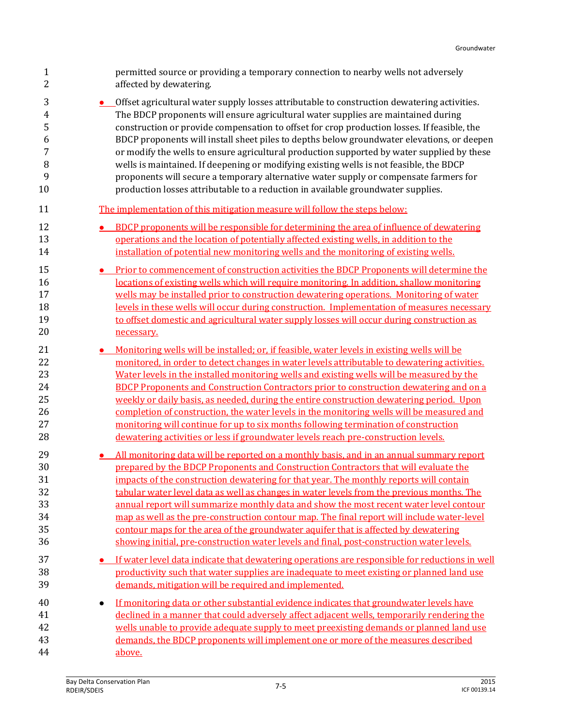| $\mathbf{1}$               | permitted source or providing a temporary connection to nearby wells not adversely                                                                                                                                                                                                                                                                                                           |
|----------------------------|----------------------------------------------------------------------------------------------------------------------------------------------------------------------------------------------------------------------------------------------------------------------------------------------------------------------------------------------------------------------------------------------|
| 2                          | affected by dewatering.                                                                                                                                                                                                                                                                                                                                                                      |
| 3                          | • Offset agricultural water supply losses attributable to construction dewatering activities.                                                                                                                                                                                                                                                                                                |
| 4                          | The BDCP proponents will ensure agricultural water supplies are maintained during                                                                                                                                                                                                                                                                                                            |
| 5                          | construction or provide compensation to offset for crop production losses. If feasible, the                                                                                                                                                                                                                                                                                                  |
| 6                          | BDCP proponents will install sheet piles to depths below groundwater elevations, or deepen                                                                                                                                                                                                                                                                                                   |
| 7                          | or modify the wells to ensure agricultural production supported by water supplied by these                                                                                                                                                                                                                                                                                                   |
| 8                          | wells is maintained. If deepening or modifying existing wells is not feasible, the BDCP                                                                                                                                                                                                                                                                                                      |
| 9                          | proponents will secure a temporary alternative water supply or compensate farmers for                                                                                                                                                                                                                                                                                                        |
| 10                         | production losses attributable to a reduction in available groundwater supplies.                                                                                                                                                                                                                                                                                                             |
| 11                         | The implementation of this mitigation measure will follow the steps below:                                                                                                                                                                                                                                                                                                                   |
| 12                         | BDCP proponents will be responsible for determining the area of influence of dewatering                                                                                                                                                                                                                                                                                                      |
| 13                         | operations and the location of potentially affected existing wells, in addition to the                                                                                                                                                                                                                                                                                                       |
| 14                         | installation of potential new monitoring wells and the monitoring of existing wells.                                                                                                                                                                                                                                                                                                         |
| 15                         | Prior to commencement of construction activities the BDCP Proponents will determine the                                                                                                                                                                                                                                                                                                      |
| 16                         | locations of existing wells which will require monitoring. In addition, shallow monitoring                                                                                                                                                                                                                                                                                                   |
| 17                         | wells may be installed prior to construction dewatering operations. Monitoring of water                                                                                                                                                                                                                                                                                                      |
| 18                         | levels in these wells will occur during construction. Implementation of measures necessary                                                                                                                                                                                                                                                                                                   |
| 19                         | to offset domestic and agricultural water supply losses will occur during construction as                                                                                                                                                                                                                                                                                                    |
| 20                         | necessary.                                                                                                                                                                                                                                                                                                                                                                                   |
| 21                         | Monitoring wells will be installed; or, if feasible, water levels in existing wells will be                                                                                                                                                                                                                                                                                                  |
| 22                         | monitored, in order to detect changes in water levels attributable to dewatering activities.                                                                                                                                                                                                                                                                                                 |
| 23                         | Water levels in the installed monitoring wells and existing wells will be measured by the                                                                                                                                                                                                                                                                                                    |
| 24                         | <b>BDCP Proponents and Construction Contractors prior to construction dewatering and on a</b>                                                                                                                                                                                                                                                                                                |
| 25                         | weekly or daily basis, as needed, during the entire construction dewatering period. Upon                                                                                                                                                                                                                                                                                                     |
| 26                         | completion of construction, the water levels in the monitoring wells will be measured and                                                                                                                                                                                                                                                                                                    |
| 27                         | monitoring will continue for up to six months following termination of construction                                                                                                                                                                                                                                                                                                          |
| 28                         | dewatering activities or less if groundwater levels reach pre-construction levels.                                                                                                                                                                                                                                                                                                           |
| 29                         | All monitoring data will be reported on a monthly basis, and in an annual summary report                                                                                                                                                                                                                                                                                                     |
| 30                         | prepared by the BDCP Proponents and Construction Contractors that will evaluate the                                                                                                                                                                                                                                                                                                          |
| 31                         | impacts of the construction dewatering for that year. The monthly reports will contain                                                                                                                                                                                                                                                                                                       |
| 32                         | tabular water level data as well as changes in water levels from the previous months. The                                                                                                                                                                                                                                                                                                    |
| 33                         | annual report will summarize monthly data and show the most recent water level contour                                                                                                                                                                                                                                                                                                       |
| 34                         | map as well as the pre-construction contour map. The final report will include water-level                                                                                                                                                                                                                                                                                                   |
| 35                         | contour maps for the area of the groundwater aquifer that is affected by dewatering                                                                                                                                                                                                                                                                                                          |
| 36                         | showing initial, pre-construction water levels and final, post-construction water levels.                                                                                                                                                                                                                                                                                                    |
| 37                         | <b>•</b> If water level data indicate that dewatering operations are responsible for reductions in well                                                                                                                                                                                                                                                                                      |
| 38                         | productivity such that water supplies are inadequate to meet existing or planned land use                                                                                                                                                                                                                                                                                                    |
| 39                         | demands, mitigation will be required and implemented.                                                                                                                                                                                                                                                                                                                                        |
| 40<br>41<br>42<br>43<br>44 | If monitoring data or other substantial evidence indicates that groundwater levels have<br>$\bullet$<br>declined in a manner that could adversely affect adjacent wells, temporarily rendering the<br>wells unable to provide adequate supply to meet preexisting demands or planned land use<br>demands, the BDCP proponents will implement one or more of the measures described<br>above. |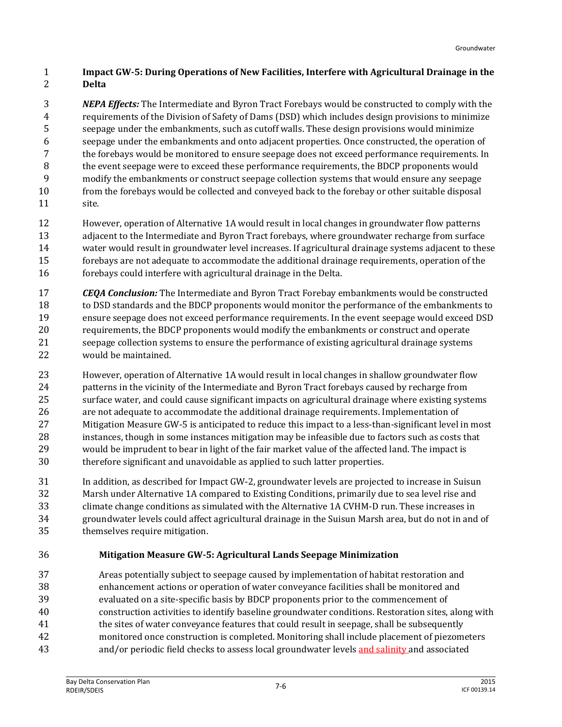#### **Impact GW-5: During Operations of New Facilities, Interfere with Agricultural Drainage in the Delta**

 *NEPA Effects:* The Intermediate and Byron Tract Forebays would be constructed to comply with the requirements of the Division of Safety of Dams (DSD) which includes design provisions to minimize seepage under the embankments, such as cutoff walls. These design provisions would minimize seepage under the embankments and onto adjacent properties. Once constructed, the operation of the forebays would be monitored to ensure seepage does not exceed performance requirements. In the event seepage were to exceed these performance requirements, the BDCP proponents would modify the embankments or construct seepage collection systems that would ensure any seepage from the forebays would be collected and conveyed back to the forebay or other suitable disposal site.

- However, operation of Alternative 1A would result in local changes in groundwater flow patterns adjacent to the Intermediate and Byron Tract forebays, where groundwater recharge from surface water would result in groundwater level increases. If agricultural drainage systems adjacent to these forebays are not adequate to accommodate the additional drainage requirements, operation of the forebays could interfere with agricultural drainage in the Delta.
- *CEQA Conclusion:* The Intermediate and Byron Tract Forebay embankments would be constructed to DSD standards and the BDCP proponents would monitor the performance of the embankments to ensure seepage does not exceed performance requirements. In the event seepage would exceed DSD requirements, the BDCP proponents would modify the embankments or construct and operate seepage collection systems to ensure the performance of existing agricultural drainage systems would be maintained.
- However, operation of Alternative 1A would result in local changes in shallow groundwater flow patterns in the vicinity of the Intermediate and Byron Tract forebays caused by recharge from surface water, and could cause significant impacts on agricultural drainage where existing systems are not adequate to accommodate the additional drainage requirements. Implementation of Mitigation Measure GW-5 is anticipated to reduce this impact to a less-than-significant level in most instances, though in some instances mitigation may be infeasible due to factors such as costs that would be imprudent to bear in light of the fair market value of the affected land. The impact is therefore significant and unavoidable as applied to such latter properties.
- In addition, as described for Impact GW-2, groundwater levels are projected to increase in Suisun Marsh under Alternative 1A compared to Existing Conditions, primarily due to sea level rise and climate change conditions as simulated with the Alternative 1A CVHM-D run. These increases in groundwater levels could affect agricultural drainage in the Suisun Marsh area, but do not in and of themselves require mitigation.
	-

#### **Mitigation Measure GW-5: Agricultural Lands Seepage Minimization**

 Areas potentially subject to seepage caused by implementation of habitat restoration and enhancement actions or operation of water conveyance facilities shall be monitored and evaluated on a site-specific basis by BDCP proponents prior to the commencement of construction activities to identify baseline groundwater conditions. Restoration sites, along with the sites of water conveyance features that could result in seepage, shall be subsequently monitored once construction is completed. Monitoring shall include placement of piezometers and/or periodic field checks to assess local groundwater levels and salinity and associated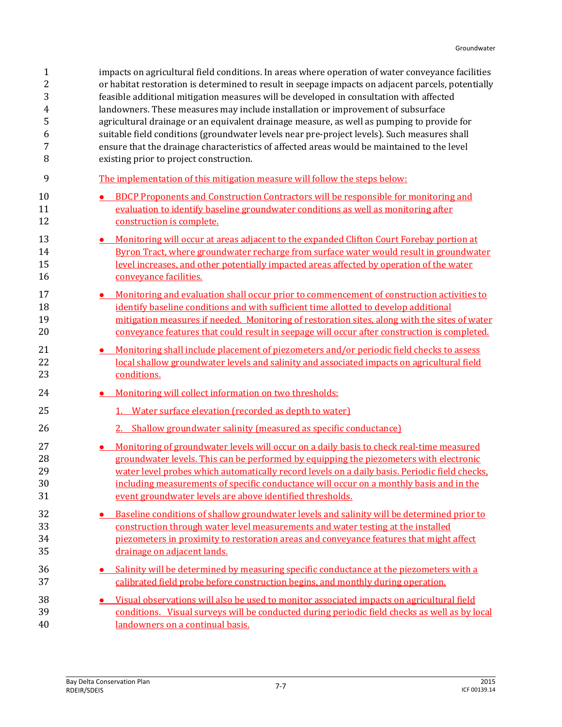| $\mathbf{1}$ | impacts on agricultural field conditions. In areas where operation of water conveyance facilities  |
|--------------|----------------------------------------------------------------------------------------------------|
| 2            | or habitat restoration is determined to result in seepage impacts on adjacent parcels, potentially |
| 3            | feasible additional mitigation measures will be developed in consultation with affected            |
| 4            | landowners. These measures may include installation or improvement of subsurface                   |
| 5            | agricultural drainage or an equivalent drainage measure, as well as pumping to provide for         |
| 6            | suitable field conditions (groundwater levels near pre-project levels). Such measures shall        |
| 7            | ensure that the drainage characteristics of affected areas would be maintained to the level        |
| 8            | existing prior to project construction.                                                            |
| 9            | The implementation of this mitigation measure will follow the steps below:                         |
| 10           | <b>BDCP Proponents and Construction Contractors will be responsible for monitoring and</b>         |
| 11           | evaluation to identify baseline groundwater conditions as well as monitoring after                 |
| 12           | construction is complete.                                                                          |
| 13           | Monitoring will occur at areas adjacent to the expanded Clifton Court Forebay portion at           |
| 14           | Byron Tract, where groundwater recharge from surface water would result in groundwater             |
| 15           | level increases, and other potentially impacted areas affected by operation of the water           |
| 16           | conveyance facilities.                                                                             |
| 17           | <u>Monitoring and evaluation shall occur prior to commencement of construction activities to</u>   |
| 18           | identify baseline conditions and with sufficient time allotted to develop additional               |
| 19           | mitigation measures if needed. Monitoring of restoration sites, along with the sites of water      |
| 20           | conveyance features that could result in seepage will occur after construction is completed.       |
| 21           | Monitoring shall include placement of piezometers and/or periodic field checks to assess           |
| 22           | local shallow groundwater levels and salinity and associated impacts on agricultural field         |
| 23           | conditions.                                                                                        |
| 24           | Monitoring will collect information on two thresholds:                                             |
| 25           | 1. Water surface elevation (recorded as depth to water)                                            |
| 26           | 2. Shallow groundwater salinity (measured as specific conductance)                                 |
| 27           | • Monitoring of groundwater levels will occur on a daily basis to check real-time measured         |
| 28           | groundwater levels. This can be performed by equipping the piezometers with electronic             |
| 29           | water level probes which automatically record levels on a daily basis. Periodic field checks,      |
| 30           | including measurements of specific conductance will occur on a monthly basis and in the            |
| 31           | event groundwater levels are above identified thresholds.                                          |
| 32           | Baseline conditions of shallow groundwater levels and salinity will be determined prior to         |
| 33           | construction through water level measurements and water testing at the installed                   |
| 34           | piezometers in proximity to restoration areas and conveyance features that might affect            |
| 35           | drainage on adjacent lands.                                                                        |
| 36           | Salinity will be determined by measuring specific conductance at the piezometers with a            |
| 37           | calibrated field probe before construction begins, and monthly during operation.                   |
| 38           | Visual observations will also be used to monitor associated impacts on agricultural field          |
| 39           | conditions. Visual surveys will be conducted during periodic field checks as well as by local      |
| 40           | landowners on a continual basis.                                                                   |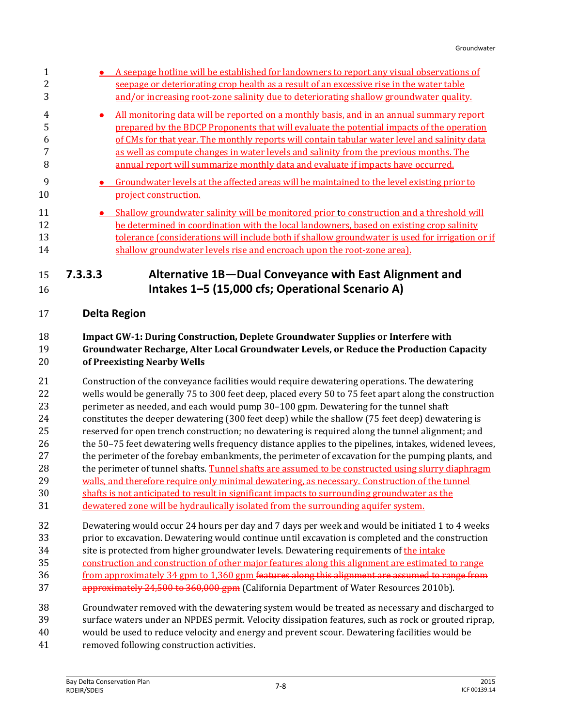| 2<br>3               |           | A seepage hotline will be established for landowners to report any visual observations of<br>seepage or deteriorating crop health as a result of an excessive rise in the water table<br>and/or increasing root-zone salinity due to deteriorating shallow groundwater quality.                                                                                                                                                                                    |
|----------------------|-----------|--------------------------------------------------------------------------------------------------------------------------------------------------------------------------------------------------------------------------------------------------------------------------------------------------------------------------------------------------------------------------------------------------------------------------------------------------------------------|
| 4<br>5<br>6<br>8     | $\bullet$ | All monitoring data will be reported on a monthly basis, and in an annual summary report<br>prepared by the BDCP Proponents that will evaluate the potential impacts of the operation<br>of CMs for that year. The monthly reports will contain tabular water level and salinity data<br>as well as compute changes in water levels and salinity from the previous months. The<br>annual report will summarize monthly data and evaluate if impacts have occurred. |
| 9<br>10              |           | Groundwater levels at the affected areas will be maintained to the level existing prior to<br>project construction.                                                                                                                                                                                                                                                                                                                                                |
| 11<br>12<br>13<br>14 |           | Shallow groundwater salinity will be monitored prior to construction and a threshold will<br>be determined in coordination with the local landowners, based on existing crop salinity<br>tolerance (considerations will include both if shallow groundwater is used for irrigation or if<br>shallow groundwater levels rise and encroach upon the root-zone area).                                                                                                 |
| 15<br>16             | 7.3.3.3   | Alternative 1B-Dual Conveyance with East Alignment and<br>Intakes 1-5 (15,000 cfs; Operational Scenario A)                                                                                                                                                                                                                                                                                                                                                         |

## **Delta Region**

#### **Impact GW-1: During Construction, Deplete Groundwater Supplies or Interfere with Groundwater Recharge, Alter Local Groundwater Levels, or Reduce the Production Capacity of Preexisting Nearby Wells**

- Construction of the conveyance facilities would require dewatering operations. The dewatering wells would be generally 75 to 300 feet deep, placed every 50 to 75 feet apart along the construction perimeter as needed, and each would pump 30–100 gpm. Dewatering for the tunnel shaft constitutes the deeper dewatering (300 feet deep) while the shallow (75 feet deep) dewatering is reserved for open trench construction; no dewatering is required along the tunnel alignment; and the 50–75 feet dewatering wells frequency distance applies to the pipelines, intakes, widened levees, the perimeter of the forebay embankments, the perimeter of excavation for the pumping plants, and 28 the perimeter of tunnel shafts. Tunnel shafts are assumed to be constructed using slurry diaphragm walls, and therefore require only minimal dewatering, as necessary. Construction of the tunnel shafts is not anticipated to result in significant impacts to surrounding groundwater as the dewatered zone will be hydraulically isolated from the surrounding aquifer system. Dewatering would occur 24 hours per day and 7 days per week and would be initiated 1 to 4 weeks
- prior to excavation. Dewatering would continue until excavation is completed and the construction 34 site is protected from higher groundwater levels. Dewatering requirements of the intake
- construction and construction of other major features along this alignment are estimated to range
- 36 from approximately 34 gpm to 1,360 gpm <del>features along this alignment are assumed to range from</del>
- 37 approximately 24,500 to 360,000 gpm (California Department of Water Resources 2010b).
- Groundwater removed with the dewatering system would be treated as necessary and discharged to
- surface waters under an NPDES permit. Velocity dissipation features, such as rock or grouted riprap,
- would be used to reduce velocity and energy and prevent scour. Dewatering facilities would be
- removed following construction activities.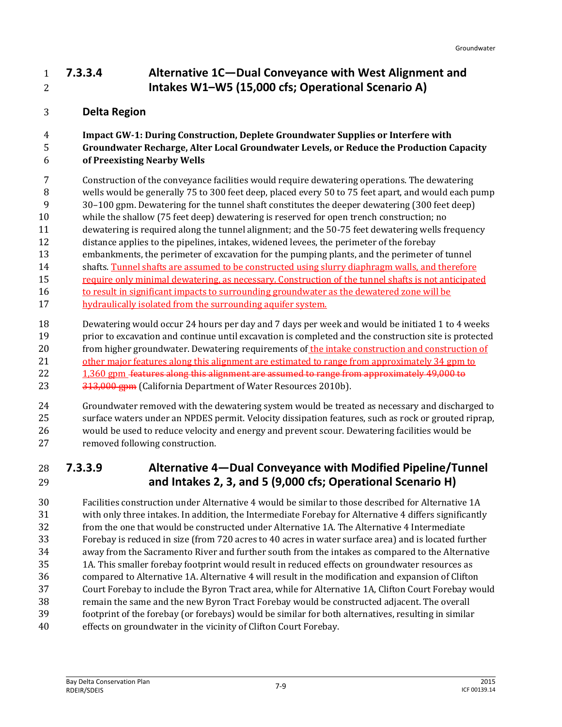### **7.3.3.4 Alternative 1C—Dual Conveyance with West Alignment and Intakes W1–W5 (15,000 cfs; Operational Scenario A)**

### **Delta Region**

## **Impact GW-1: During Construction, Deplete Groundwater Supplies or Interfere with Groundwater Recharge, Alter Local Groundwater Levels, or Reduce the Production Capacity**

#### **of Preexisting Nearby Wells**

- Construction of the conveyance facilities would require dewatering operations. The dewatering
- wells would be generally 75 to 300 feet deep, placed every 50 to 75 feet apart, and would each pump 30–100 gpm. Dewatering for the tunnel shaft constitutes the deeper dewatering (300 feet deep)
- while the shallow (75 feet deep) dewatering is reserved for open trench construction; no
- dewatering is required along the tunnel alignment; and the 50-75 feet dewatering wells frequency
- distance applies to the pipelines, intakes, widened levees, the perimeter of the forebay
- embankments, the perimeter of excavation for the pumping plants, and the perimeter of tunnel
- shafts. Tunnel shafts are assumed to be constructed using slurry diaphragm walls, and therefore
- require only minimal dewatering, as necessary. Construction of the tunnel shafts is not anticipated
- 16 to result in significant impacts to surrounding groundwater as the dewatered zone will be
- 17 hydraulically isolated from the surrounding aquifer system.
- Dewatering would occur 24 hours per day and 7 days per week and would be initiated 1 to 4 weeks prior to excavation and continue until excavation is completed and the construction site is protected 20 from higher groundwater. Dewatering requirements of the intake construction and construction of 21 other major features along this alignment are estimated to range from approximately 34 gpm to 22 1,360 gpm features along this alignment are assumed to range from approximately 49,000 to 23 313,000 gpm (California Department of Water Resources 2010b).
- Groundwater removed with the dewatering system would be treated as necessary and discharged to surface waters under an NPDES permit. Velocity dissipation features, such as rock or grouted riprap, would be used to reduce velocity and energy and prevent scour. Dewatering facilities would be removed following construction.

### **7.3.3.9 Alternative 4—Dual Conveyance with Modified Pipeline/Tunnel and Intakes 2, 3, and 5 (9,000 cfs; Operational Scenario H)**

 Facilities construction under Alternative 4 would be similar to those described for Alternative 1A with only three intakes. In addition, the Intermediate Forebay for Alternative 4 differs significantly from the one that would be constructed under Alternative 1A. The Alternative 4 Intermediate Forebay is reduced in size (from 720 acres to 40 acres in water surface area) and is located further away from the Sacramento River and further south from the intakes as compared to the Alternative 1A. This smaller forebay footprint would result in reduced effects on groundwater resources as compared to Alternative 1A. Alternative 4 will result in the modification and expansion of Clifton Court Forebay to include the Byron Tract area, while for Alternative 1A, Clifton Court Forebay would remain the same and the new Byron Tract Forebay would be constructed adjacent. The overall footprint of the forebay (or forebays) would be similar for both alternatives, resulting in similar effects on groundwater in the vicinity of Clifton Court Forebay.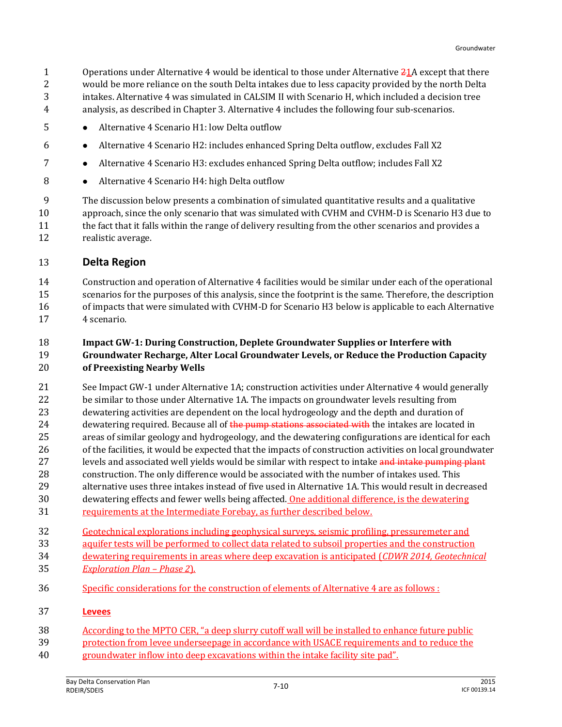1 Operations under Alternative 4 would be identical to those under Alternative  $\frac{21}{16}$  except that there would be more reliance on the south Delta intakes due to less capacity provided by the north Delta intakes. Alternative 4 was simulated in CALSIM II with Scenario H, which included a decision tree analysis, as described in Chapter 3. Alternative 4 includes the following four sub-scenarios.

- **•** Alternative 4 Scenario H1: low Delta outflow
- Alternative 4 Scenario H2: includes enhanced Spring Delta outflow, excludes Fall X2
- **•** Alternative 4 Scenario H3: excludes enhanced Spring Delta outflow; includes Fall X2
- **Alternative 4 Scenario H4: high Delta outflow**

 The discussion below presents a combination of simulated quantitative results and a qualitative approach, since the only scenario that was simulated with CVHM and CVHM-D is Scenario H3 due to the fact that it falls within the range of delivery resulting from the other scenarios and provides a realistic average.

#### **Delta Region**

 Construction and operation of Alternative 4 facilities would be similar under each of the operational scenarios for the purposes of this analysis, since the footprint is the same. Therefore, the description of impacts that were simulated with CVHM-D for Scenario H3 below is applicable to each Alternative 4 scenario.

#### **Impact GW-1: During Construction, Deplete Groundwater Supplies or Interfere with Groundwater Recharge, Alter Local Groundwater Levels, or Reduce the Production Capacity of Preexisting Nearby Wells**

 See Impact GW-1 under Alternative 1A; construction activities under Alternative 4 would generally 22 be similar to those under Alternative 1A. The impacts on groundwater levels resulting from dewatering activities are dependent on the local hydrogeology and the depth and duration of 24 dewatering required. Because all of the pump stations associated with the intakes are located in areas of similar geology and hydrogeology, and the dewatering configurations are identical for each 26 of the facilities, it would be expected that the impacts of construction activities on local groundwater 27 levels and associated well yields would be similar with respect to intake and intake pumping plant construction. The only difference would be associated with the number of intakes used. This alternative uses three intakes instead of five used in Alternative 1A. This would result in decreased dewatering effects and fewer wells being affected. One additional difference, is the dewatering

- requirements at the Intermediate Forebay, as further described below.
- Geotechnical explorations including geophysical surveys, seismic profiling, pressuremeter and
- aquifer tests will be performed to collect data related to subsoil properties and the construction
- dewatering requirements in areas where deep excavation is anticipated (*CDWR 2014, Geotechnical Exploration Plan – Phase 2*).
- Specific considerations for the construction of elements of Alternative 4 are as follows :

#### **Levees**

- According to the MPTO CER, "a deep slurry cutoff wall will be installed to enhance future public
- protection from levee underseepage in accordance with USACE requirements and to reduce the
- groundwater inflow into deep excavations within the intake facility site pad".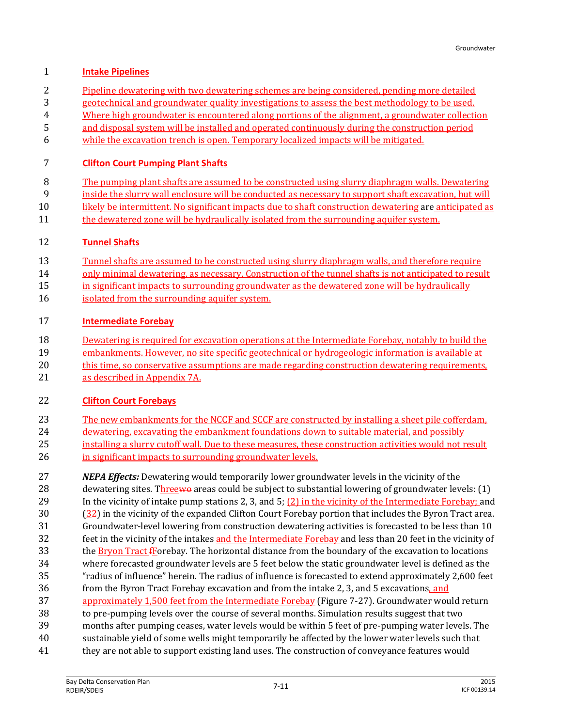#### **Intake Pipelines**

- Pipeline dewatering with two dewatering schemes are being considered, pending more detailed
- geotechnical and groundwater quality investigations to assess the best methodology to be used.
- Where high groundwater is encountered along portions of the alignment, a groundwater collection
- and disposal system will be installed and operated continuously during the construction period
- while the excavation trench is open. Temporary localized impacts will be mitigated.

#### **Clifton Court Pumping Plant Shafts**

- The pumping plant shafts are assumed to be constructed using slurry diaphragm walls. Dewatering
- inside the slurry wall enclosure will be conducted as necessary to support shaft excavation, but will
- 10 likely be intermittent. No significant impacts due to shaft construction dewatering are anticipated as
- 11 the dewatered zone will be hydraulically isolated from the surrounding aquifer system.

#### **Tunnel Shafts**

- Tunnel shafts are assumed to be constructed using slurry diaphragm walls, and therefore require
- only minimal dewatering, as necessary. Construction of the tunnel shafts is not anticipated to result
- in significant impacts to surrounding groundwater as the dewatered zone will be hydraulically
- isolated from the surrounding aquifer system.

#### **Intermediate Forebay**

- Dewatering is required for excavation operations at the Intermediate Forebay, notably to build the
- embankments. However, no site specific geotechnical or hydrogeologic information is available at
- this time, so conservative assumptions are made regarding construction dewatering requirements,
- as described in Appendix 7A.

#### **Clifton Court Forebays**

- The new embankments for the NCCF and SCCF are constructed by installing a sheet pile cofferdam, dewatering, excavating the embankment foundations down to suitable material, and possibly 25 installing a slurry cutoff wall. Due to these measures, these construction activities would not result 26 in significant impacts to surrounding groundwater levels.
- *NEPA Effects:* Dewatering would temporarily lower groundwater levels in the vicinity of the 28 dewatering sites. Threewe areas could be subject to substantial lowering of groundwater levels: (1) In the vicinity of intake pump stations 2, 3, and 5; (2) in the vicinity of the Intermediate Forebay; and (32) in the vicinity of the expanded Clifton Court Forebay portion that includes the Byron Tract area. Groundwater-level lowering from construction dewatering activities is forecasted to be less than 10 32 feet in the vicinity of the intakes and the Intermediate Forebay and less than 20 feet in the vicinity of 33 the Bryon Tract fForebay. The horizontal distance from the boundary of the excavation to locations where forecasted groundwater levels are 5 feet below the static groundwater level is defined as the "radius of influence" herein. The radius of influence is forecasted to extend approximately 2,600 feet from the Byron Tract Forebay excavation and from the intake 2, 3, and 5 excavations, and 37 approximately 1,500 feet from the Intermediate Forebay (Figure 7-27). Groundwater would return to pre-pumping levels over the course of several months. Simulation results suggest that two months after pumping ceases, water levels would be within 5 feet of pre-pumping water levels. The sustainable yield of some wells might temporarily be affected by the lower water levels such that
- 41 they are not able to support existing land uses. The construction of conveyance features would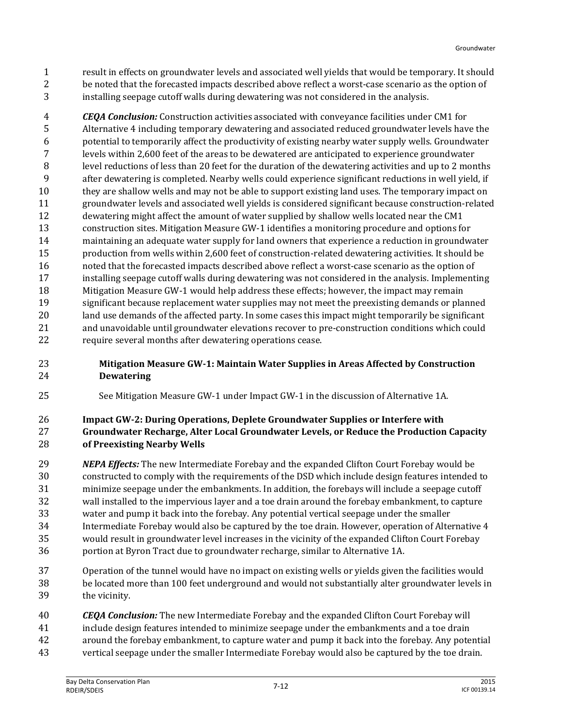result in effects on groundwater levels and associated well yields that would be temporary. It should be noted that the forecasted impacts described above reflect a worst-case scenario as the option of installing seepage cutoff walls during dewatering was not considered in the analysis.

 *CEQA Conclusion:* Construction activities associated with conveyance facilities under CM1 for Alternative 4 including temporary dewatering and associated reduced groundwater levels have the potential to temporarily affect the productivity of existing nearby water supply wells. Groundwater levels within 2,600 feet of the areas to be dewatered are anticipated to experience groundwater level reductions of less than 20 feet for the duration of the dewatering activities and up to 2 months after dewatering is completed. Nearby wells could experience significant reductions in well yield, if they are shallow wells and may not be able to support existing land uses. The temporary impact on groundwater levels and associated well yields is considered significant because construction-related dewatering might affect the amount of water supplied by shallow wells located near the CM1 construction sites. Mitigation Measure GW-1 identifies a monitoring procedure and options for maintaining an adequate water supply for land owners that experience a reduction in groundwater production from wells within 2,600 feet of construction-related dewatering activities. It should be noted that the forecasted impacts described above reflect a worst-case scenario as the option of installing seepage cutoff walls during dewatering was not considered in the analysis. Implementing Mitigation Measure GW-1 would help address these effects; however, the impact may remain significant because replacement water supplies may not meet the preexisting demands or planned land use demands of the affected party. In some cases this impact might temporarily be significant and unavoidable until groundwater elevations recover to pre-construction conditions which could require several months after dewatering operations cease.

- **Mitigation Measure GW-1: Maintain Water Supplies in Areas Affected by Construction Dewatering**
- See Mitigation Measure GW-1 under Impact GW-1 in the discussion of Alternative 1A.

#### **Impact GW-2: During Operations, Deplete Groundwater Supplies or Interfere with Groundwater Recharge, Alter Local Groundwater Levels, or Reduce the Production Capacity of Preexisting Nearby Wells**

 *NEPA Effects:* The new Intermediate Forebay and the expanded Clifton Court Forebay would be constructed to comply with the requirements of the DSD which include design features intended to minimize seepage under the embankments. In addition, the forebays will include a seepage cutoff wall installed to the impervious layer and a toe drain around the forebay embankment, to capture water and pump it back into the forebay. Any potential vertical seepage under the smaller Intermediate Forebay would also be captured by the toe drain. However, operation of Alternative 4 would result in groundwater level increases in the vicinity of the expanded Clifton Court Forebay portion at Byron Tract due to groundwater recharge, similar to Alternative 1A.

- Operation of the tunnel would have no impact on existing wells or yields given the facilities would be located more than 100 feet underground and would not substantially alter groundwater levels in the vicinity.
- *CEQA Conclusion:* The new Intermediate Forebay and the expanded Clifton Court Forebay will
- include design features intended to minimize seepage under the embankments and a toe drain
- around the forebay embankment, to capture water and pump it back into the forebay. Any potential
- vertical seepage under the smaller Intermediate Forebay would also be captured by the toe drain.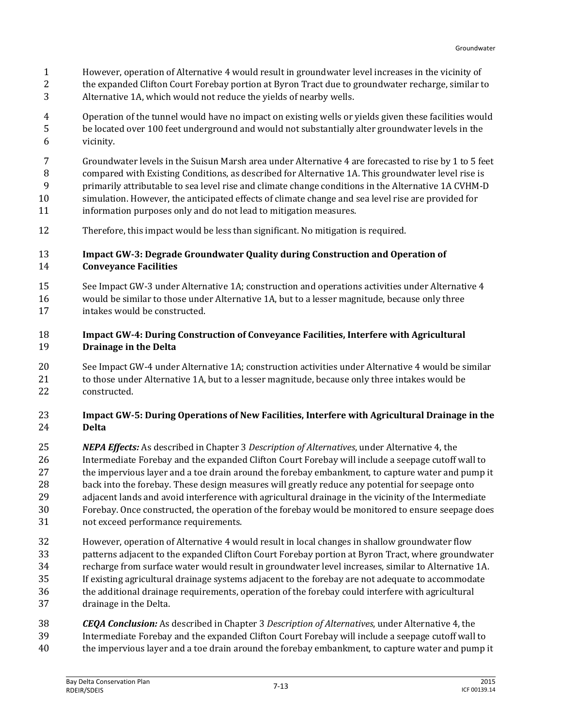- However, operation of Alternative 4 would result in groundwater level increases in the vicinity of
- the expanded Clifton Court Forebay portion at Byron Tract due to groundwater recharge, similar to
- Alternative 1A, which would not reduce the yields of nearby wells.
- Operation of the tunnel would have no impact on existing wells or yields given these facilities would be located over 100 feet underground and would not substantially alter groundwater levels in the vicinity.
- Groundwater levels in the Suisun Marsh area under Alternative 4 are forecasted to rise by 1 to 5 feet
- compared with Existing Conditions, as described for Alternative 1A. This groundwater level rise is
- primarily attributable to sea level rise and climate change conditions in the Alternative 1A CVHM-D simulation. However, the anticipated effects of climate change and sea level rise are provided for
- information purposes only and do not lead to mitigation measures.
- Therefore, this impact would be less than significant. No mitigation is required.

#### **Impact GW-3: Degrade Groundwater Quality during Construction and Operation of Conveyance Facilities**

 See Impact GW-3 under Alternative 1A; construction and operations activities under Alternative 4 would be similar to those under Alternative 1A, but to a lesser magnitude, because only three intakes would be constructed.

#### **Impact GW-4: During Construction of Conveyance Facilities, Interfere with Agricultural Drainage in the Delta**

 See Impact GW-4 under Alternative 1A; construction activities under Alternative 4 would be similar to those under Alternative 1A, but to a lesser magnitude, because only three intakes would be constructed.

#### **Impact GW-5: During Operations of New Facilities, Interfere with Agricultural Drainage in the Delta**

- *NEPA Effects:* As described in Chapter 3 *Description of Alternatives*, under Alternative 4, the Intermediate Forebay and the expanded Clifton Court Forebay will include a seepage cutoff wall to 27 the impervious layer and a toe drain around the forebay embankment, to capture water and pump it back into the forebay. These design measures will greatly reduce any potential for seepage onto adjacent lands and avoid interference with agricultural drainage in the vicinity of the Intermediate Forebay. Once constructed, the operation of the forebay would be monitored to ensure seepage does not exceed performance requirements.
- However, operation of Alternative 4 would result in local changes in shallow groundwater flow patterns adjacent to the expanded Clifton Court Forebay portion at Byron Tract, where groundwater recharge from surface water would result in groundwater level increases, similar to Alternative 1A. If existing agricultural drainage systems adjacent to the forebay are not adequate to accommodate the additional drainage requirements, operation of the forebay could interfere with agricultural drainage in the Delta.
- *CEQA Conclusion:* As described in Chapter 3 *Description of Alternatives*, under Alternative 4, the
- Intermediate Forebay and the expanded Clifton Court Forebay will include a seepage cutoff wall to
- the impervious layer and a toe drain around the forebay embankment, to capture water and pump it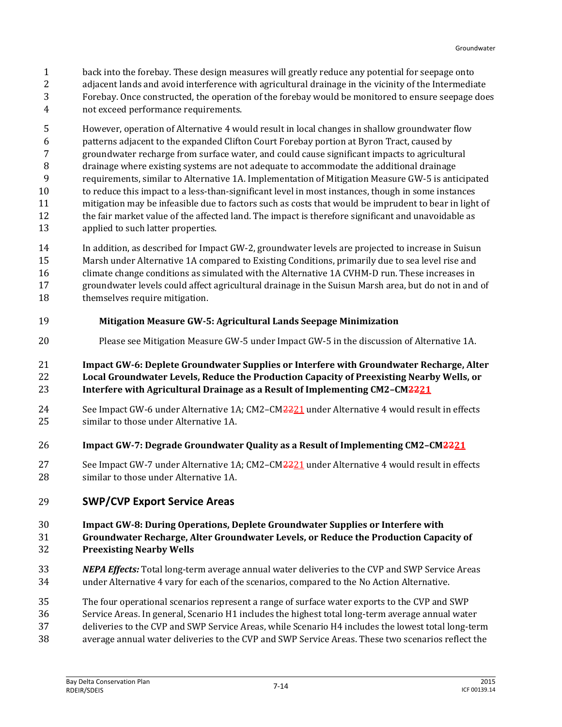- back into the forebay. These design measures will greatly reduce any potential for seepage onto
- 2 adjacent lands and avoid interference with agricultural drainage in the vicinity of the Intermediate Forebay. Once constructed, the operation of the forebay would be monitored to ensure seepage does
- not exceed performance requirements.
- However, operation of Alternative 4 would result in local changes in shallow groundwater flow patterns adjacent to the expanded Clifton Court Forebay portion at Byron Tract, caused by groundwater recharge from surface water, and could cause significant impacts to agricultural drainage where existing systems are not adequate to accommodate the additional drainage requirements, similar to Alternative 1A. Implementation of Mitigation Measure GW-5 is anticipated to reduce this impact to a less-than-significant level in most instances, though in some instances mitigation may be infeasible due to factors such as costs that would be imprudent to bear in light of the fair market value of the affected land. The impact is therefore significant and unavoidable as applied to such latter properties.
- In addition, as described for Impact GW-2, groundwater levels are projected to increase in Suisun Marsh under Alternative 1A compared to Existing Conditions, primarily due to sea level rise and climate change conditions as simulated with the Alternative 1A CVHM-D run. These increases in groundwater levels could affect agricultural drainage in the Suisun Marsh area, but do not in and of themselves require mitigation.
- **Mitigation Measure GW-5: Agricultural Lands Seepage Minimization**
- Please see Mitigation Measure GW-5 under Impact GW-5 in the discussion of Alternative 1A.

 **Impact GW-6: Deplete Groundwater Supplies or Interfere with Groundwater Recharge, Alter Local Groundwater Levels, Reduce the Production Capacity of Preexisting Nearby Wells, or Interfere with Agricultural Drainage as a Result of Implementing CM2–CM2221**

- 24 See Impact GW-6 under Alternative 1A; CM2–CM2221 under Alternative 4 would result in effects similar to those under Alternative 1A.
- **Impact GW-7: Degrade Groundwater Quality as a Result of Implementing CM2–CM2221**
- 27 See Impact GW-7 under Alternative 1A; CM2–CM2221 under Alternative 4 would result in effects similar to those under Alternative 1A.
- **SWP/CVP Export Service Areas**

#### **Impact GW-8: During Operations, Deplete Groundwater Supplies or Interfere with Groundwater Recharge, Alter Groundwater Levels, or Reduce the Production Capacity of Preexisting Nearby Wells**

- *NEPA Effects:* Total long-term average annual water deliveries to the CVP and SWP Service Areas under Alternative 4 vary for each of the scenarios, compared to the No Action Alternative.
- The four operational scenarios represent a range of surface water exports to the CVP and SWP
- Service Areas. In general, Scenario H1 includes the highest total long-term average annual water
- deliveries to the CVP and SWP Service Areas, while Scenario H4 includes the lowest total long-term
- average annual water deliveries to the CVP and SWP Service Areas. These two scenarios reflect the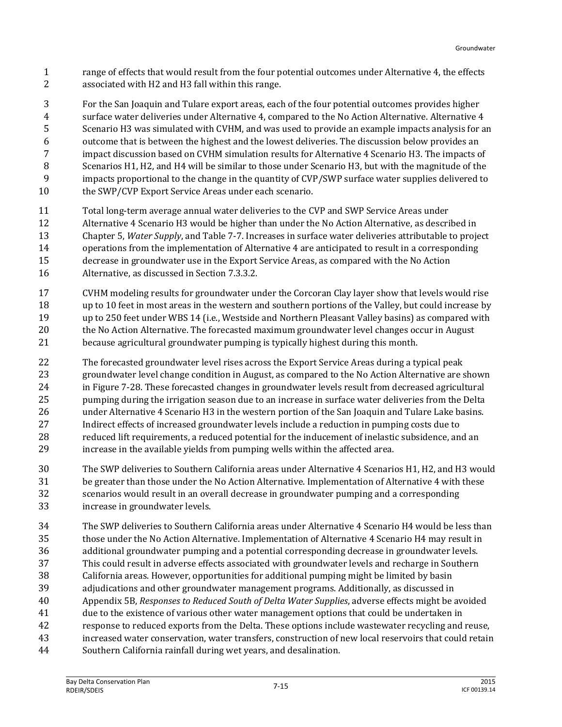- range of effects that would result from the four potential outcomes under Alternative 4, the effects associated with H2 and H3 fall within this range.
- For the San Joaquin and Tulare export areas, each of the four potential outcomes provides higher
- surface water deliveries under Alternative 4, compared to the No Action Alternative. Alternative 4
- Scenario H3 was simulated with CVHM, and was used to provide an example impacts analysis for an
- outcome that is between the highest and the lowest deliveries. The discussion below provides an
- impact discussion based on CVHM simulation results for Alternative 4 Scenario H3. The impacts of
- Scenarios H1, H2, and H4 will be similar to those under Scenario H3, but with the magnitude of the
- impacts proportional to the change in the quantity of CVP/SWP surface water supplies delivered to
- 10 the SWP/CVP Export Service Areas under each scenario.
- Total long-term average annual water deliveries to the CVP and SWP Service Areas under
- Alternative 4 Scenario H3 would be higher than under the No Action Alternative, as described in Chapter 5, *Water Supply*, and Table 7-7. Increases in surface water deliveries attributable to project operations from the implementation of Alternative 4 are anticipated to result in a corresponding
- decrease in groundwater use in the Export Service Areas, as compared with the No Action Alternative, as discussed in Section 7.3.3.2.
- CVHM modeling results for groundwater under the Corcoran Clay layer show that levels would rise up to 10 feet in most areas in the western and southern portions of the Valley, but could increase by up to 250 feet under WBS 14 (i.e., Westside and Northern Pleasant Valley basins) as compared with the No Action Alternative. The forecasted maximum groundwater level changes occur in August because agricultural groundwater pumping is typically highest during this month.
- The forecasted groundwater level rises across the Export Service Areas during a typical peak groundwater level change condition in August, as compared to the No Action Alternative are shown in Figure 7-28. These forecasted changes in groundwater levels result from decreased agricultural pumping during the irrigation season due to an increase in surface water deliveries from the Delta under Alternative 4 Scenario H3 in the western portion of the San Joaquin and Tulare Lake basins. Indirect effects of increased groundwater levels include a reduction in pumping costs due to reduced lift requirements, a reduced potential for the inducement of inelastic subsidence, and an increase in the available yields from pumping wells within the affected area.
- The SWP deliveries to Southern California areas under Alternative 4 Scenarios H1, H2, and H3 would be greater than those under the No Action Alternative. Implementation of Alternative 4 with these scenarios would result in an overall decrease in groundwater pumping and a corresponding increase in groundwater levels.
- The SWP deliveries to Southern California areas under Alternative 4 Scenario H4 would be less than those under the No Action Alternative. Implementation of Alternative 4 Scenario H4 may result in additional groundwater pumping and a potential corresponding decrease in groundwater levels. This could result in adverse effects associated with groundwater levels and recharge in Southern California areas. However, opportunities for additional pumping might be limited by basin adjudications and other groundwater management programs. Additionally, as discussed in Appendix 5B, *Responses to Reduced South of Delta Water Supplies*, adverse effects might be avoided due to the existence of various other water management options that could be undertaken in response to reduced exports from the Delta. These options include wastewater recycling and reuse, increased water conservation, water transfers, construction of new local reservoirs that could retain
- Southern California rainfall during wet years, and desalination.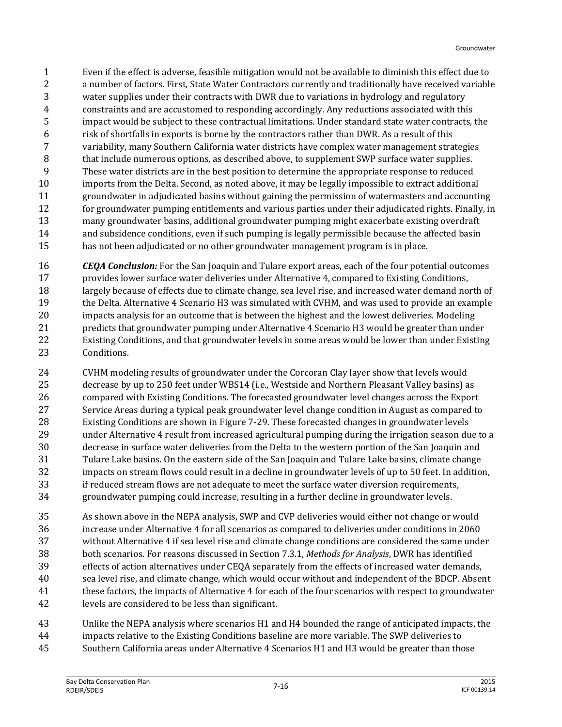Even if the effect is adverse, feasible mitigation would not be available to diminish this effect due to a number of factors. First, State Water Contractors currently and traditionally have received variable water supplies under their contracts with DWR due to variations in hydrology and regulatory constraints and are accustomed to responding accordingly. Any reductions associated with this impact would be subject to these contractual limitations. Under standard state water contracts, the risk of shortfalls in exports is borne by the contractors rather than DWR. As a result of this variability, many Southern California water districts have complex water management strategies 8 that include numerous options, as described above, to supplement SWP surface water supplies. These water districts are in the best position to determine the appropriate response to reduced imports from the Delta. Second, as noted above, it may be legally impossible to extract additional groundwater in adjudicated basins without gaining the permission of watermasters and accounting for groundwater pumping entitlements and various parties under their adjudicated rights. Finally, in many groundwater basins, additional groundwater pumping might exacerbate existing overdraft and subsidence conditions, even if such pumping is legally permissible because the affected basin has not been adjudicated or no other groundwater management program is in place.

 *CEQA Conclusion:* For the San Joaquin and Tulare export areas, each of the four potential outcomes provides lower surface water deliveries under Alternative 4, compared to Existing Conditions, 18 largely because of effects due to climate change, sea level rise, and increased water demand north of the Delta. Alternative 4 Scenario H3 was simulated with CVHM, and was used to provide an example impacts analysis for an outcome that is between the highest and the lowest deliveries. Modeling predicts that groundwater pumping under Alternative 4 Scenario H3 would be greater than under Existing Conditions, and that groundwater levels in some areas would be lower than under Existing Conditions.

 CVHM modeling results of groundwater under the Corcoran Clay layer show that levels would decrease by up to 250 feet under WBS14 (i.e., Westside and Northern Pleasant Valley basins) as compared with Existing Conditions. The forecasted groundwater level changes across the Export Service Areas during a typical peak groundwater level change condition in August as compared to Existing Conditions are shown in Figure 7-29. These forecasted changes in groundwater levels under Alternative 4 result from increased agricultural pumping during the irrigation season due to a decrease in surface water deliveries from the Delta to the western portion of the San Joaquin and Tulare Lake basins. On the eastern side of the San Joaquin and Tulare Lake basins, climate change impacts on stream flows could result in a decline in groundwater levels of up to 50 feet. In addition, if reduced stream flows are not adequate to meet the surface water diversion requirements, groundwater pumping could increase, resulting in a further decline in groundwater levels.

 As shown above in the NEPA analysis, SWP and CVP deliveries would either not change or would increase under Alternative 4 for all scenarios as compared to deliveries under conditions in 2060 without Alternative 4 if sea level rise and climate change conditions are considered the same under both scenarios. For reasons discussed in Section 7.3.1, *Methods for Analysis*, DWR has identified effects of action alternatives under CEQA separately from the effects of increased water demands, sea level rise, and climate change, which would occur without and independent of the BDCP. Absent these factors, the impacts of Alternative 4 for each of the four scenarios with respect to groundwater levels are considered to be less than significant.

 Unlike the NEPA analysis where scenarios H1 and H4 bounded the range of anticipated impacts, the impacts relative to the Existing Conditions baseline are more variable. The SWP deliveries to Southern California areas under Alternative 4 Scenarios H1 and H3 would be greater than those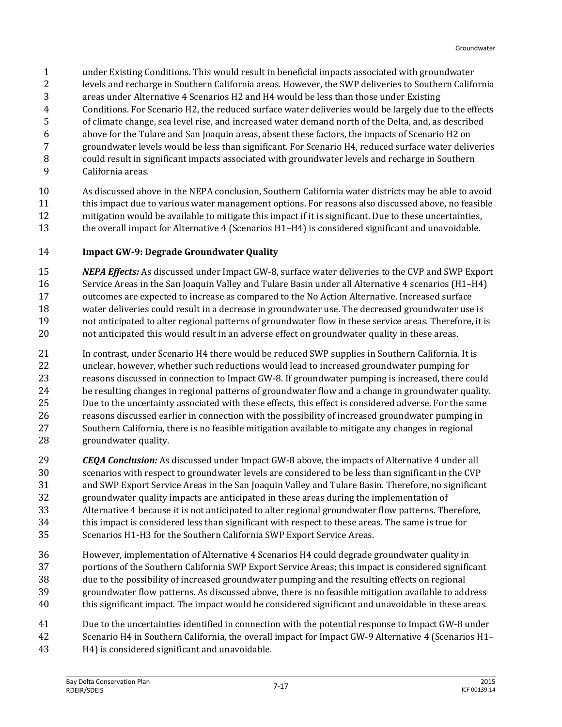- under Existing Conditions. This would result in beneficial impacts associated with groundwater
- levels and recharge in Southern California areas. However, the SWP deliveries to Southern California
- areas under Alternative 4 Scenarios H2 and H4 would be less than those under Existing
- Conditions. For Scenario H2, the reduced surface water deliveries would be largely due to the effects
- of climate change, sea level rise, and increased water demand north of the Delta, and, as described
- above for the Tulare and San Joaquin areas, absent these factors, the impacts of Scenario H2 on
- groundwater levels would be less than significant. For Scenario H4, reduced surface water deliveries could result in significant impacts associated with groundwater levels and recharge in Southern
- California areas.
- 

 As discussed above in the NEPA conclusion, Southern California water districts may be able to avoid this impact due to various water management options. For reasons also discussed above, no feasible mitigation would be available to mitigate this impact if it is significant. Due to these uncertainties, 13 the overall impact for Alternative 4 (Scenarios H1–H4) is considered significant and unavoidable.

#### **Impact GW-9: Degrade Groundwater Quality**

 *NEPA Effects:* As discussed under Impact GW-8, surface water deliveries to the CVP and SWP Export Service Areas in the San Joaquin Valley and Tulare Basin under all Alternative 4 scenarios (H1–H4) outcomes are expected to increase as compared to the No Action Alternative. Increased surface water deliveries could result in a decrease in groundwater use. The decreased groundwater use is not anticipated to alter regional patterns of groundwater flow in these service areas. Therefore, it is not anticipated this would result in an adverse effect on groundwater quality in these areas.

 In contrast, under Scenario H4 there would be reduced SWP supplies in Southern California. It is unclear, however, whether such reductions would lead to increased groundwater pumping for reasons discussed in connection to Impact GW-8. If groundwater pumping is increased, there could be resulting changes in regional patterns of groundwater flow and a change in groundwater quality. Due to the uncertainty associated with these effects, this effect is considered adverse. For the same reasons discussed earlier in connection with the possibility of increased groundwater pumping in Southern California, there is no feasible mitigation available to mitigate any changes in regional groundwater quality.

- *CEQA Conclusion:* As discussed under Impact GW-8 above, the impacts of Alternative 4 under all scenarios with respect to groundwater levels are considered to be less than significant in the CVP and SWP Export Service Areas in the San Joaquin Valley and Tulare Basin. Therefore, no significant groundwater quality impacts are anticipated in these areas during the implementation of Alternative 4 because it is not anticipated to alter regional groundwater flow patterns. Therefore, this impact is considered less than significant with respect to these areas. The same is true for Scenarios H1-H3 for the Southern California SWP Export Service Areas.
- However, implementation of Alternative 4 Scenarios H4 could degrade groundwater quality in portions of the Southern California SWP Export Service Areas; this impact is considered significant due to the possibility of increased groundwater pumping and the resulting effects on regional groundwater flow patterns. As discussed above, there is no feasible mitigation available to address this significant impact. The impact would be considered significant and unavoidable in these areas.
- Due to the uncertainties identified in connection with the potential response to Impact GW-8 under Scenario H4 in Southern California, the overall impact for Impact GW-9 Alternative 4 (Scenarios H1– H4) is considered significant and unavoidable.